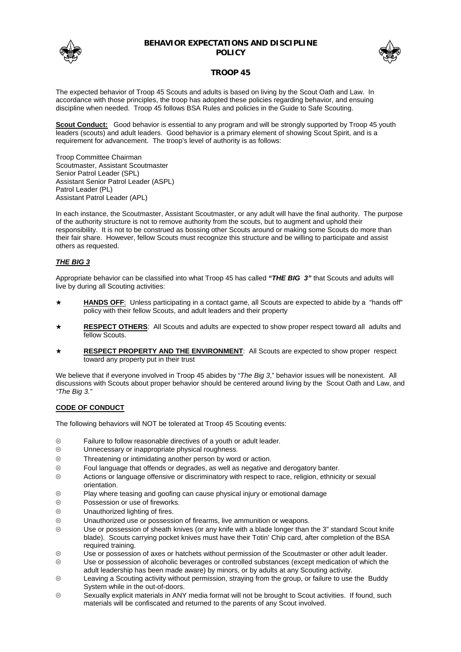

## **BEHAVIOR EXPECTATIONS AND DISCIPLINE POLICY**



# **TROOP 45**

The expected behavior of Troop 45 Scouts and adults is based on living by the Scout Oath and Law. In accordance with those principles, the troop has adopted these policies regarding behavior, and ensuing discipline when needed. Troop 45 follows BSA Rules and policies in the Guide to Safe Scouting.

**Scout Conduct:** Good behavior is essential to any program and will be strongly supported by Troop 45 youth leaders (scouts) and adult leaders. Good behavior is a primary element of showing Scout Spirit, and is a requirement for advancement. The troop's level of authority is as follows:

Troop Committee Chairman Scoutmaster, Assistant Scoutmaster Senior Patrol Leader (SPL) Assistant Senior Patrol Leader (ASPL) Patrol Leader (PL) Assistant Patrol Leader (APL)

In each instance, the Scoutmaster, Assistant Scoutmaster, or any adult will have the final authority. The purpose of the authority structure is not to remove authority from the scouts, but to augment and uphold their responsibility. It is not to be construed as bossing other Scouts around or making some Scouts do more than their fair share. However, fellow Scouts must recognize this structure and be willing to participate and assist others as requested.

# *THE BIG 3*

Appropriate behavior can be classified into what Troop 45 has called *"THE BIG 3"* that Scouts and adults will live by during all Scouting activities:

- HANDS OFF: Unless participating in a contact game, all Scouts are expected to abide by a "hands off" policy with their fellow Scouts, and adult leaders and their property
- **RESPECT OTHERS:** All Scouts and adults are expected to show proper respect toward all adults and fellow Scouts.
- \* RESPECT PROPERTY AND THE ENVIRONMENT: All Scouts are expected to show proper respect toward any property put in their trust

We believe that if everyone involved in Troop 45 abides by "*The Big 3*," behavior issues will be nonexistent. All discussions with Scouts about proper behavior should be centered around living by the Scout Oath and Law, and *"The Big 3."*

## **CODE OF CONDUCT**

The following behaviors will NOT be tolerated at Troop 45 Scouting events:

- $\circledcirc$  Failure to follow reasonable directives of a youth or adult leader.
- $\circledcirc$  Unnecessary or inappropriate physical roughness.
- $\circledR$  Threatening or intimidating another person by word or action.
- $\circledast$  Foul language that offends or degrades, as well as negative and derogatory banter.
- $\circledast$  Actions or language offensive or discriminatory with respect to race, religion, ethnicity or sexual orientation.
- $\otimes$  Play where teasing and goofing can cause physical injury or emotional damage
- $\circledR$  Possession or use of fireworks.
- $\circledcirc$  Unauthorized lighting of fires.
- $\circledast$  Unauthorized use or possession of firearms, live ammunition or weapons.
- ; Use or possession of sheath knives (or any knife with a blade longer than the 3" standard Scout knife blade). Scouts carrying pocket knives must have their Totin' Chip card, after completion of the BSA required training.
- $\circledast$  Use or possession of axes or hatchets without permission of the Scoutmaster or other adult leader.
- $\circledast$  Use or possession of alcoholic beverages or controlled substances (except medication of which the adult leadership has been made aware) by minors, or by adults at any Scouting activity.
- $\circledast$  Leaving a Scouting activity without permission, straying from the group, or failure to use the Buddy System while in the out-of-doors.
- $\circledast$  Sexually explicit materials in ANY media format will not be brought to Scout activities. If found, such materials will be confiscated and returned to the parents of any Scout involved.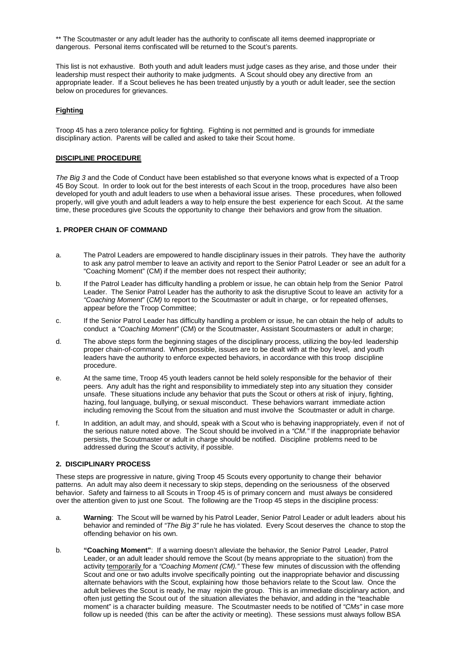\*\* The Scoutmaster or any adult leader has the authority to confiscate all items deemed inappropriate or dangerous. Personal items confiscated will be returned to the Scout's parents.

This list is not exhaustive. Both youth and adult leaders must judge cases as they arise, and those under their leadership must respect their authority to make judgments. A Scout should obey any directive from an appropriate leader. If a Scout believes he has been treated unjustly by a youth or adult leader, see the section below on procedures for grievances.

## **Fighting**

Troop 45 has a zero tolerance policy for fighting. Fighting is not permitted and is grounds for immediate disciplinary action. Parents will be called and asked to take their Scout home.

## **DISCIPLINE PROCEDURE**

*The Big 3* and the Code of Conduct have been established so that everyone knows what is expected of a Troop 45 Boy Scout. In order to look out for the best interests of each Scout in the troop, procedures have also been developed for youth and adult leaders to use when a behavioral issue arises. These procedures, when followed properly, will give youth and adult leaders a way to help ensure the best experience for each Scout. At the same time, these procedures give Scouts the opportunity to change their behaviors and grow from the situation.

### **1. PROPER CHAIN OF COMMAND**

- a. The Patrol Leaders are empowered to handle disciplinary issues in their patrols. They have the authority to ask any patrol member to leave an activity and report to the Senior Patrol Leader or see an adult for a "Coaching Moment" (CM) if the member does not respect their authority;
- b. If the Patrol Leader has difficulty handling a problem or issue, he can obtain help from the Senior Patrol Leader. The Senior Patrol Leader has the authority to ask the disruptive Scout to leave an activity for a *"Coaching Moment*" (*CM)* to report to the Scoutmaster or adult in charge, or for repeated offenses, appear before the Troop Committee;
- c. If the Senior Patrol Leader has difficulty handling a problem or issue, he can obtain the help of adults to conduct a *"Coaching Moment"* (CM) or the Scoutmaster, Assistant Scoutmasters or adult in charge;
- d. The above steps form the beginning stages of the disciplinary process, utilizing the boy-led leadership proper chain-of-command. When possible, issues are to be dealt with at the boy level, and youth leaders have the authority to enforce expected behaviors, in accordance with this troop discipline procedure.
- e. At the same time, Troop 45 youth leaders cannot be held solely responsible for the behavior of their peers. Any adult has the right and responsibility to immediately step into any situation they consider unsafe. These situations include any behavior that puts the Scout or others at risk of injury, fighting, hazing, foul language, bullying, or sexual misconduct. These behaviors warrant immediate action including removing the Scout from the situation and must involve the Scoutmaster or adult in charge.
- f. In addition, an adult may, and should, speak with a Scout who is behaving inappropriately, even if not of the serious nature noted above. The Scout should be involved in a *"CM."* If the inappropriate behavior persists, the Scoutmaster or adult in charge should be notified. Discipline problems need to be addressed during the Scout's activity, if possible.

### **2. DISCIPLINARY PROCESS**

These steps are progressive in nature, giving Troop 45 Scouts every opportunity to change their behavior patterns. An adult may also deem it necessary to skip steps, depending on the seriousness of the observed behavior. Safety and fairness to all Scouts in Troop 45 is of primary concern and must always be considered over the attention given to just one Scout. The following are the Troop 45 steps in the discipline process:

- a. **Warning**: The Scout will be warned by his Patrol Leader, Senior Patrol Leader or adult leaders about his behavior and reminded of *"The Big 3"* rule he has violated. Every Scout deserves the chance to stop the offending behavior on his own.
- b. **"Coaching Moment"**: If a warning doesn't alleviate the behavior, the Senior Patrol Leader, Patrol Leader, or an adult leader should remove the Scout (by means appropriate to the situation) from the activity temporarily for a *"Coaching Moment (CM)."* These few minutes of discussion with the offending Scout and one or two adults involve specifically pointing out the inappropriate behavior and discussing alternate behaviors with the Scout, explaining how those behaviors relate to the Scout law. Once the adult believes the Scout is ready, he may rejoin the group. This is an immediate disciplinary action, and often just getting the Scout out of the situation alleviates the behavior, and adding in the "teachable moment" is a character building measure. The Scoutmaster needs to be notified of *"CMs"* in case more follow up is needed (this can be after the activity or meeting). These sessions must always follow BSA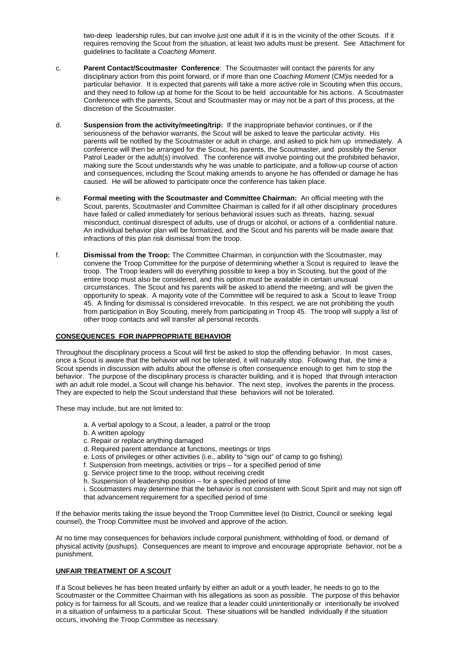two-deep leadership rules, but can involve just one adult if it is in the vicinity of the other Scouts. If it requires removing the Scout from the situation, at least two adults must be present. See Attachment for guidelines to facilitate a *Coaching Moment*.

- c. **Parent Contact/Scoutmaster Conference**: The Scoutmaster will contact the parents for any disciplinary action from this point forward, or if more than one *Coaching Moment* (CM)is needed for a particular behavior. It is expected that parents will take a more active role in Scouting when this occurs, and they need to follow up at home for the Scout to be held accountable for his actions. A Scoutmaster Conference with the parents, Scout and Scoutmaster may or may not be a part of this process, at the discretion of the Scoutmaster.
- d. **Suspension from the activity/meeting/trip:** If the inappropriate behavior continues, or if the seriousness of the behavior warrants, the Scout will be asked to leave the particular activity. His parents will be notified by the Scoutmaster or adult in charge, and asked to pick him up immediately. A conference will then be arranged for the Scout, his parents, the Scoutmaster, and possibly the Senior Patrol Leader or the adult(s) involved. The conference will involve pointing out the prohibited behavior, making sure the Scout understands why he was unable to participate, and a follow-up course of action and consequences, including the Scout making amends to anyone he has offended or damage he has caused. He will be allowed to participate once the conference has taken place.
- e. **Formal meeting with the Scoutmaster and Committee Chairman:** An official meeting with the Scout, parents, Scoutmaster and Committee Chairman is called for if all other disciplinary procedures have failed or called immediately for serious behavioral issues such as threats, hazing, sexual misconduct, continual disrespect of adults, use of drugs or alcohol, or actions of a confidential nature. An individual behavior plan will be formalized, and the Scout and his parents will be made aware that infractions of this plan risk dismissal from the troop.
- f. **Dismissal from the Troop:** The Committee Chairman, in conjunction with the Scoutmaster, may convene the Troop Committee for the purpose of determining whether a Scout is required to leave the troop. The Troop leaders will do everything possible to keep a boy in Scouting, but the good of the entire troop must also be considered, and this option must be available in certain unusual circumstances. The Scout and his parents will be asked to attend the meeting, and will be given the opportunity to speak. A majority vote of the Committee will be required to ask a Scout to leave Troop 45. A finding for dismissal is considered irrevocable. In this respect, we are not prohibiting the youth from participation in Boy Scouting, merely from participating in Troop 45. The troop will supply a list of other troop contacts and will transfer all personal records.

## **CONSEQUENCES FOR INAPPROPRIATE BEHAVIOR**

Throughout the disciplinary process a Scout will first be asked to stop the offending behavior. In most cases, once a Scout is aware that the behavior will not be tolerated, it will naturally stop. Following that, the time a Scout spends in discussion with adults about the offense is often consequence enough to get him to stop the behavior. The purpose of the disciplinary process is character building, and it is hoped that through interaction with an adult role model, a Scout will change his behavior. The next step, involves the parents in the process. They are expected to help the Scout understand that these behaviors will not be tolerated.

These may include, but are not limited to:

- a. A verbal apology to a Scout, a leader, a patrol or the troop
- b. A written apology
- c. Repair or replace anything damaged
- d. Required parent attendance at functions, meetings or trips
- e. Loss of privileges or other activities (i.e., ability to "sign out" of camp to go fishing)
- f. Suspension from meetings, activities or trips for a specified period of time
- g. Service project time to the troop, without receiving credit
- h. Suspension of leadership position for a specified period of time
- i. Scoutmasters may determine that the behavior is not consistent with Scout Spirit and may not sign off that advancement requirement for a specified period of time

If the behavior merits taking the issue beyond the Troop Committee level (to District, Council or seeking legal counsel), the Troop Committee must be involved and approve of the action.

At no time may consequences for behaviors include corporal punishment, withholding of food, or demand of physical activity (pushups). Consequences are meant to improve and encourage appropriate behavior, not be a punishment.

## **UNFAIR TREATMENT OF A SCOUT**

If a Scout believes he has been treated unfairly by either an adult or a youth leader, he needs to go to the Scoutmaster or the Committee Chairman with his allegations as soon as possible. The purpose of this behavior policy is for fairness for all Scouts, and we realize that a leader could unintentionally or intentionally be involved in a situation of unfairness to a particular Scout. These situations will be handled individually if the situation occurs, involving the Troop Committee as necessary.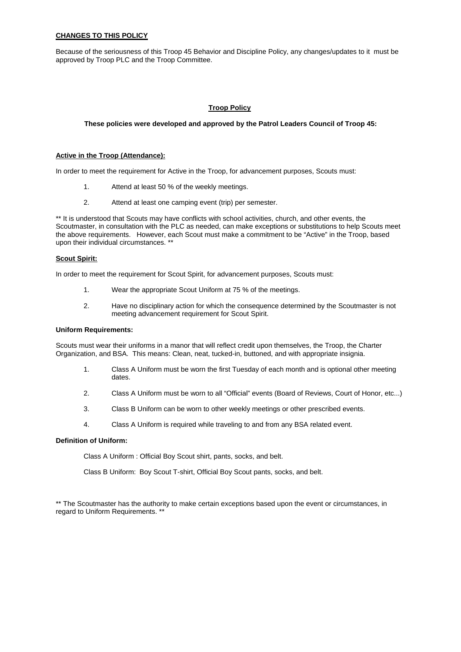## **CHANGES TO THIS POLICY**

Because of the seriousness of this Troop 45 Behavior and Discipline Policy, any changes/updates to it must be approved by Troop PLC and the Troop Committee.

## **Troop Policy**

#### **These policies were developed and approved by the Patrol Leaders Council of Troop 45:**

#### **Active in the Troop (Attendance):**

In order to meet the requirement for Active in the Troop, for advancement purposes, Scouts must:

- 1. Attend at least 50 % of the weekly meetings.
- 2. Attend at least one camping event (trip) per semester.

\*\* It is understood that Scouts may have conflicts with school activities, church, and other events, the Scoutmaster, in consultation with the PLC as needed, can make exceptions or substitutions to help Scouts meet the above requirements. However, each Scout must make a commitment to be "Active" in the Troop, based upon their individual circumstances. \*\*

#### **Scout Spirit:**

In order to meet the requirement for Scout Spirit, for advancement purposes, Scouts must:

- 1. Wear the appropriate Scout Uniform at 75 % of the meetings.
- 2. Have no disciplinary action for which the consequence determined by the Scoutmaster is not meeting advancement requirement for Scout Spirit.

#### **Uniform Requirements:**

Scouts must wear their uniforms in a manor that will reflect credit upon themselves, the Troop, the Charter Organization, and BSA. This means: Clean, neat, tucked-in, buttoned, and with appropriate insignia.

- 1. Class A Uniform must be worn the first Tuesday of each month and is optional other meeting dates.
- 2. Class A Uniform must be worn to all "Official" events (Board of Reviews, Court of Honor, etc...)
- 3. Class B Uniform can be worn to other weekly meetings or other prescribed events.
- 4. Class A Uniform is required while traveling to and from any BSA related event.

## **Definition of Uniform:**

Class A Uniform : Official Boy Scout shirt, pants, socks, and belt.

Class B Uniform: Boy Scout T-shirt, Official Boy Scout pants, socks, and belt.

\*\* The Scoutmaster has the authority to make certain exceptions based upon the event or circumstances, in regard to Uniform Requirements. \*\*